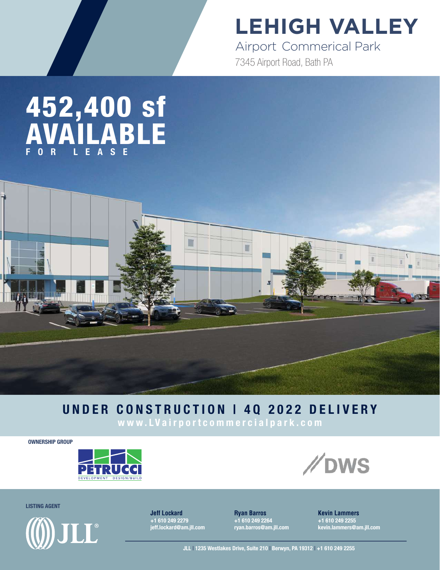## **LEHIGH VALLEY**

7345 Airport Road, Bath PA Airport Commerical Park

## 452,400 sf AVAILABLE FOR LEASE

#### UNDER CONSTRUCTION | 4Q 2022 DELIVERY

www.LVairportcommercialpark.com

OWNERSHIP GROUP





LISTING AGENT



**Jeff Lockard** +1 610 249 2279 jeff.lockard@am.jll.com **Ryan Barros** +1 610 249 2264 ryan.barros@am.jll.com **Kevin Lammers** +1 610 249 2255 kevin.lammers@am.jll.com

JLL | 1235 Westlakes Drive, Suite 210 | Berwyn, PA 19312 | +1 610 249 2255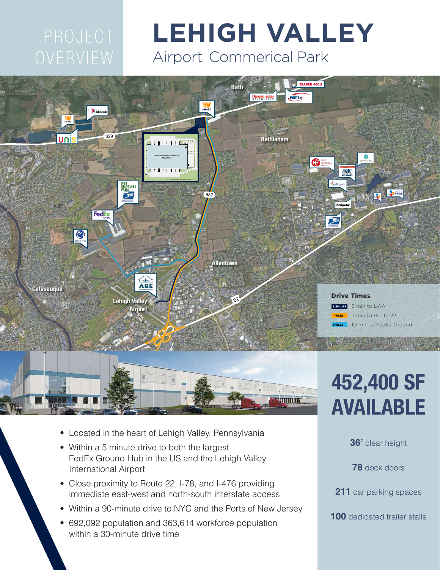# **LEHIGH VALLEY** Airport Commerical Park





- Located in the heart of Lehigh Valley, Pennsylvania
- Within a 5 minute drive to both the largest FedEx Ground Hub in the US and the Lehigh Valley International Airport
- Close proximity to Route 22, I-78, and I-476 providing immediate east-west and north-south interstate access
- Within a 90-minute drive to NYC and the Ports of New Jersey
- 692,092 population and 363,614 workforce population within a 30-minute drive time

# 452,400 SF AVAILABLE

**36'** clear height

**78** dock doors

**211** car parking spaces

**100** dedicated trailer stalls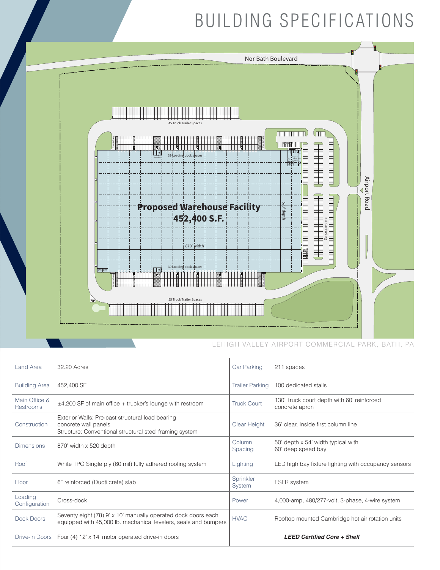#### BUILDING SPECIFICATIONS



#### LEHIGH VALLEY AIRPORT COMMERCIAL PARK, BATH, PA

| Land Area                  | 32.20 Acres                                                                                                                         | Car Parking            | 211 spaces                                                   |
|----------------------------|-------------------------------------------------------------------------------------------------------------------------------------|------------------------|--------------------------------------------------------------|
| <b>Building Area</b>       | 452,400 SF                                                                                                                          | <b>Trailer Parking</b> | 100 dedicated stalls                                         |
| Main Office &<br>Restrooms | ±4,200 SF of main office + trucker's lounge with restroom                                                                           | <b>Truck Court</b>     | 130' Truck court depth with 60' reinforced<br>concrete apron |
| Construction               | Exterior Walls: Pre-cast structural load bearing<br>concrete wall panels<br>Structure: Conventional structural steel framing system | Clear Height           | 36' clear, Inside first column line                          |
| <b>Dimensions</b>          | 870' width x 520'depth                                                                                                              | Column<br>Spacing      | 50' depth x 54' width typical with<br>60' deep speed bay     |
| Roof                       | White TPO Single ply (60 mil) fully adhered roofing system                                                                          | Lighting               | LED high bay fixture lighting with occupancy sensors         |
| <b>Floor</b>               | 6" reinforced (Ductilcrete) slab                                                                                                    | Sprinkler<br>System    | <b>ESFR</b> system                                           |
| Loading<br>Configuration   | Cross-dock                                                                                                                          | Power                  | 4,000-amp, 480/277-volt, 3-phase, 4-wire system              |
| Dock Doors                 | Seventy eight (78) 9' x 10' manually operated dock doors each<br>equipped with 45,000 lb. mechanical levelers, seals and bumpers    | <b>HVAC</b>            | Rooftop mounted Cambridge hot air rotation units             |
| Drive-in Doors             | Four (4) 12' x 14' motor operated drive-in doors                                                                                    |                        | <b>LEED Certified Core + Shell</b>                           |